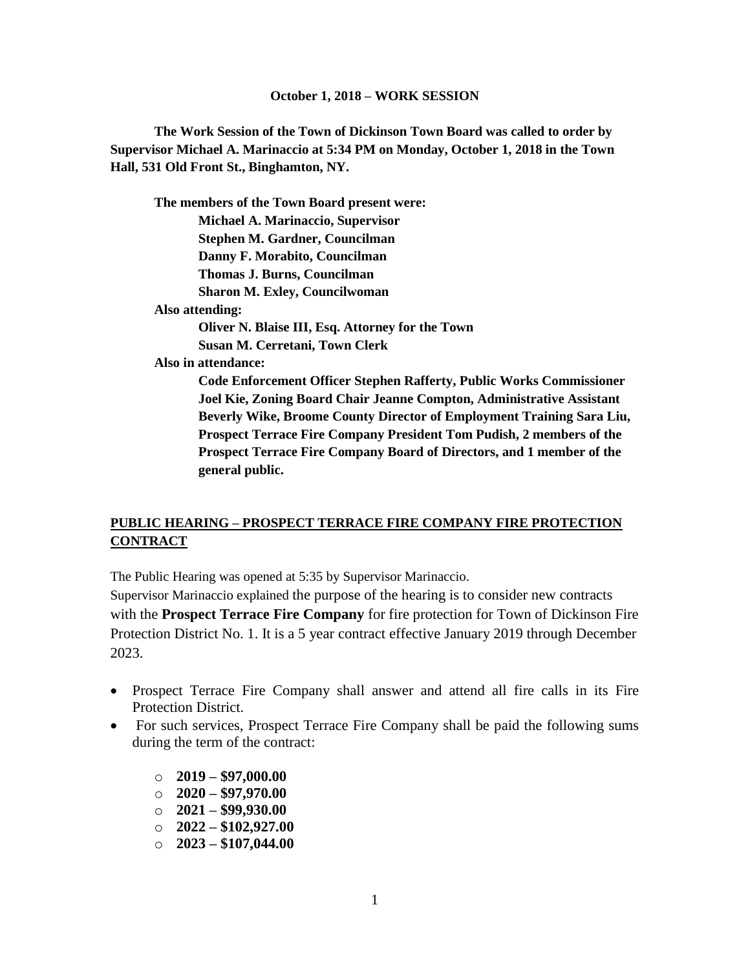**The Work Session of the Town of Dickinson Town Board was called to order by Supervisor Michael A. Marinaccio at 5:34 PM on Monday, October 1, 2018 in the Town Hall, 531 Old Front St., Binghamton, NY.**

**The members of the Town Board present were: Michael A. Marinaccio, Supervisor Stephen M. Gardner, Councilman Danny F. Morabito, Councilman Thomas J. Burns, Councilman Sharon M. Exley, Councilwoman Also attending: Oliver N. Blaise III, Esq. Attorney for the Town Susan M. Cerretani, Town Clerk Also in attendance: Code Enforcement Officer Stephen Rafferty, Public Works Commissioner Joel Kie, Zoning Board Chair Jeanne Compton, Administrative Assistant Beverly Wike, Broome County Director of Employment Training Sara Liu,** 

**Prospect Terrace Fire Company President Tom Pudish, 2 members of the Prospect Terrace Fire Company Board of Directors, and 1 member of the general public.**

# **PUBLIC HEARING – PROSPECT TERRACE FIRE COMPANY FIRE PROTECTION CONTRACT**

The Public Hearing was opened at 5:35 by Supervisor Marinaccio.

Supervisor Marinaccio explained the purpose of the hearing is to consider new contracts with the **Prospect Terrace Fire Company** for fire protection for Town of Dickinson Fire Protection District No. 1. It is a 5 year contract effective January 2019 through December 2023.

- Prospect Terrace Fire Company shall answer and attend all fire calls in its Fire Protection District.
- For such services, Prospect Terrace Fire Company shall be paid the following sums during the term of the contract:
	- o **2019 – \$97,000.00**
	- o **2020 – \$97,970.00**
	- o **2021 – \$99,930.00**
	- o **2022 – \$102,927.00**
	- o **2023 – \$107,044.00**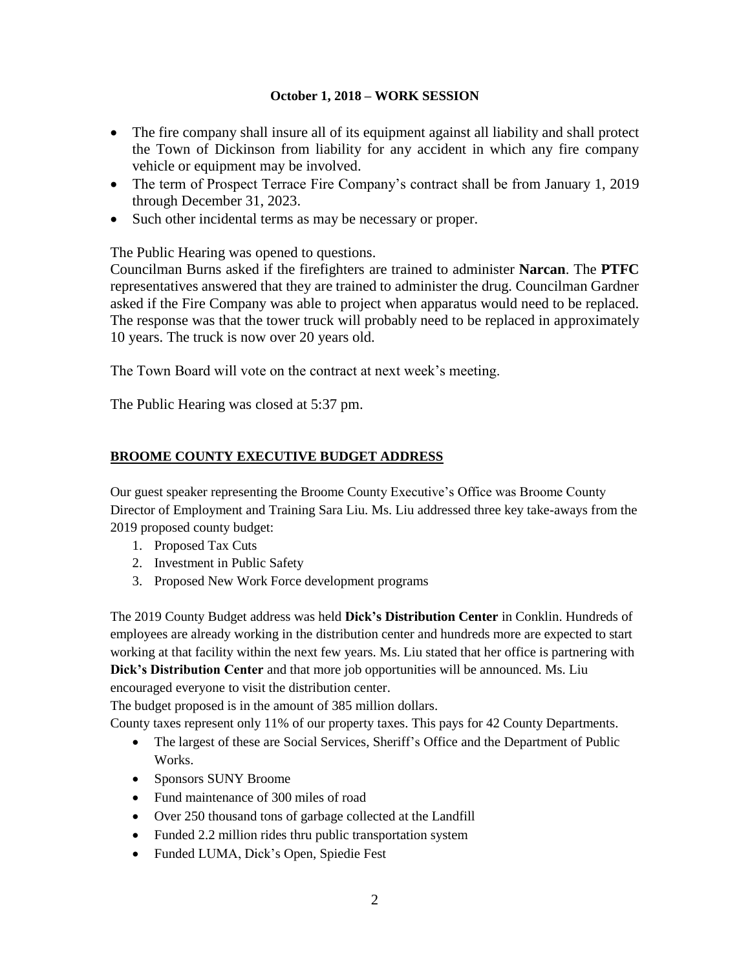- The fire company shall insure all of its equipment against all liability and shall protect the Town of Dickinson from liability for any accident in which any fire company vehicle or equipment may be involved.
- The term of Prospect Terrace Fire Company's contract shall be from January 1, 2019 through December 31, 2023.
- Such other incidental terms as may be necessary or proper.

The Public Hearing was opened to questions.

Councilman Burns asked if the firefighters are trained to administer **Narcan**. The **PTFC** representatives answered that they are trained to administer the drug. Councilman Gardner asked if the Fire Company was able to project when apparatus would need to be replaced. The response was that the tower truck will probably need to be replaced in approximately 10 years. The truck is now over 20 years old.

The Town Board will vote on the contract at next week's meeting.

The Public Hearing was closed at 5:37 pm.

# **BROOME COUNTY EXECUTIVE BUDGET ADDRESS**

Our guest speaker representing the Broome County Executive's Office was Broome County Director of Employment and Training Sara Liu. Ms. Liu addressed three key take-aways from the 2019 proposed county budget:

- 1. Proposed Tax Cuts
- 2. Investment in Public Safety
- 3. Proposed New Work Force development programs

The 2019 County Budget address was held **Dick's Distribution Center** in Conklin. Hundreds of employees are already working in the distribution center and hundreds more are expected to start working at that facility within the next few years. Ms. Liu stated that her office is partnering with **Dick's Distribution Center** and that more job opportunities will be announced. Ms. Liu encouraged everyone to visit the distribution center.

The budget proposed is in the amount of 385 million dollars.

County taxes represent only 11% of our property taxes. This pays for 42 County Departments.

- The largest of these are Social Services, Sheriff's Office and the Department of Public Works.
- Sponsors SUNY Broome
- Fund maintenance of 300 miles of road
- Over 250 thousand tons of garbage collected at the Landfill
- Funded 2.2 million rides thru public transportation system
- Funded LUMA, Dick's Open, Spiedie Fest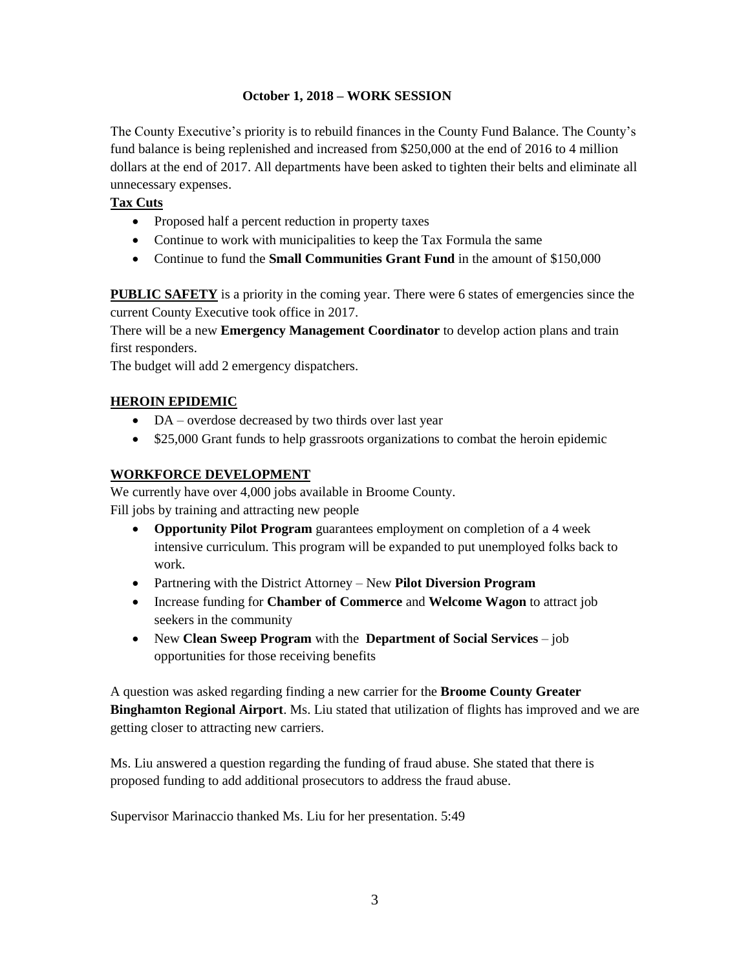The County Executive's priority is to rebuild finances in the County Fund Balance. The County's fund balance is being replenished and increased from \$250,000 at the end of 2016 to 4 million dollars at the end of 2017. All departments have been asked to tighten their belts and eliminate all unnecessary expenses.

### **Tax Cuts**

- Proposed half a percent reduction in property taxes
- Continue to work with municipalities to keep the Tax Formula the same
- Continue to fund the **Small Communities Grant Fund** in the amount of \$150,000

**PUBLIC SAFETY** is a priority in the coming year. There were 6 states of emergencies since the current County Executive took office in 2017.

There will be a new **Emergency Management Coordinator** to develop action plans and train first responders.

The budget will add 2 emergency dispatchers.

## **HEROIN EPIDEMIC**

- DA overdose decreased by two thirds over last year
- \$25,000 Grant funds to help grassroots organizations to combat the heroin epidemic

## **WORKFORCE DEVELOPMENT**

We currently have over 4,000 jobs available in Broome County. Fill jobs by training and attracting new people

- **Opportunity Pilot Program** guarantees employment on completion of a 4 week intensive curriculum. This program will be expanded to put unemployed folks back to work.
- Partnering with the District Attorney New **Pilot Diversion Program**
- Increase funding for **Chamber of Commerce** and **Welcome Wagon** to attract job seekers in the community
- New **Clean Sweep Program** with the **Department of Social Services** job opportunities for those receiving benefits

A question was asked regarding finding a new carrier for the **Broome County Greater Binghamton Regional Airport**. Ms. Liu stated that utilization of flights has improved and we are getting closer to attracting new carriers.

Ms. Liu answered a question regarding the funding of fraud abuse. She stated that there is proposed funding to add additional prosecutors to address the fraud abuse.

Supervisor Marinaccio thanked Ms. Liu for her presentation. 5:49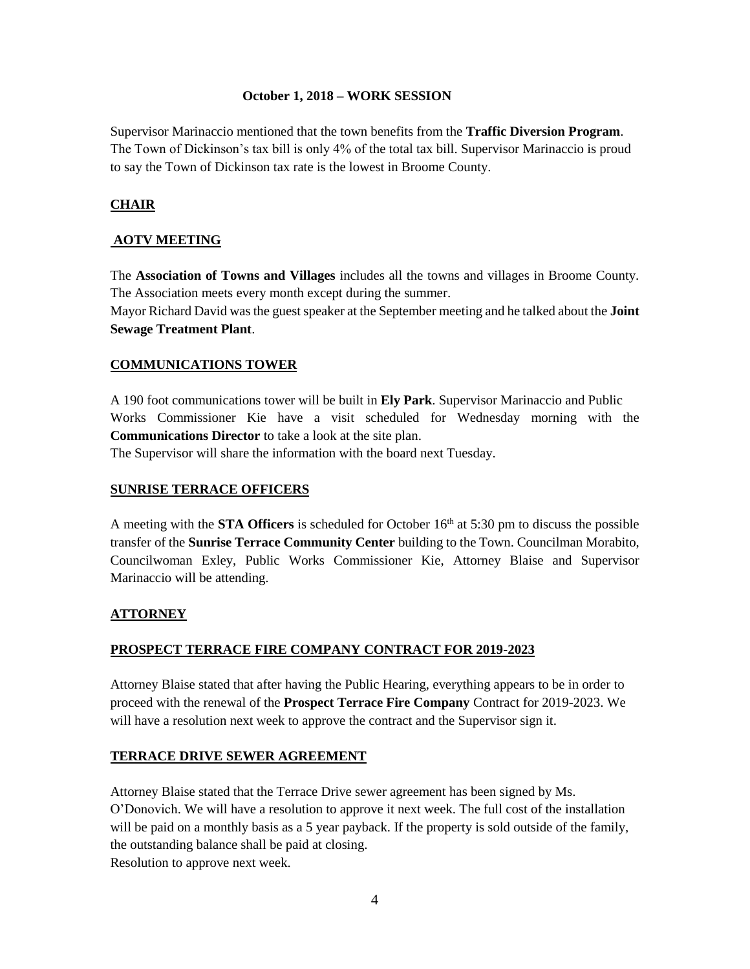Supervisor Marinaccio mentioned that the town benefits from the **Traffic Diversion Program**. The Town of Dickinson's tax bill is only 4% of the total tax bill. Supervisor Marinaccio is proud to say the Town of Dickinson tax rate is the lowest in Broome County.

## **CHAIR**

#### **AOTV MEETING**

The **Association of Towns and Villages** includes all the towns and villages in Broome County. The Association meets every month except during the summer.

Mayor Richard David was the guest speaker at the September meeting and he talked about the **Joint Sewage Treatment Plant**.

#### **COMMUNICATIONS TOWER**

A 190 foot communications tower will be built in **Ely Park**. Supervisor Marinaccio and Public Works Commissioner Kie have a visit scheduled for Wednesday morning with the **Communications Director** to take a look at the site plan.

The Supervisor will share the information with the board next Tuesday.

#### **SUNRISE TERRACE OFFICERS**

A meeting with the **STA Officers** is scheduled for October 16th at 5:30 pm to discuss the possible transfer of the **Sunrise Terrace Community Center** building to the Town. Councilman Morabito, Councilwoman Exley, Public Works Commissioner Kie, Attorney Blaise and Supervisor Marinaccio will be attending.

#### **ATTORNEY**

#### **PROSPECT TERRACE FIRE COMPANY CONTRACT FOR 2019-2023**

Attorney Blaise stated that after having the Public Hearing, everything appears to be in order to proceed with the renewal of the **Prospect Terrace Fire Company** Contract for 2019-2023. We will have a resolution next week to approve the contract and the Supervisor sign it.

#### **TERRACE DRIVE SEWER AGREEMENT**

Attorney Blaise stated that the Terrace Drive sewer agreement has been signed by Ms. O'Donovich. We will have a resolution to approve it next week. The full cost of the installation will be paid on a monthly basis as a 5 year payback. If the property is sold outside of the family, the outstanding balance shall be paid at closing. Resolution to approve next week.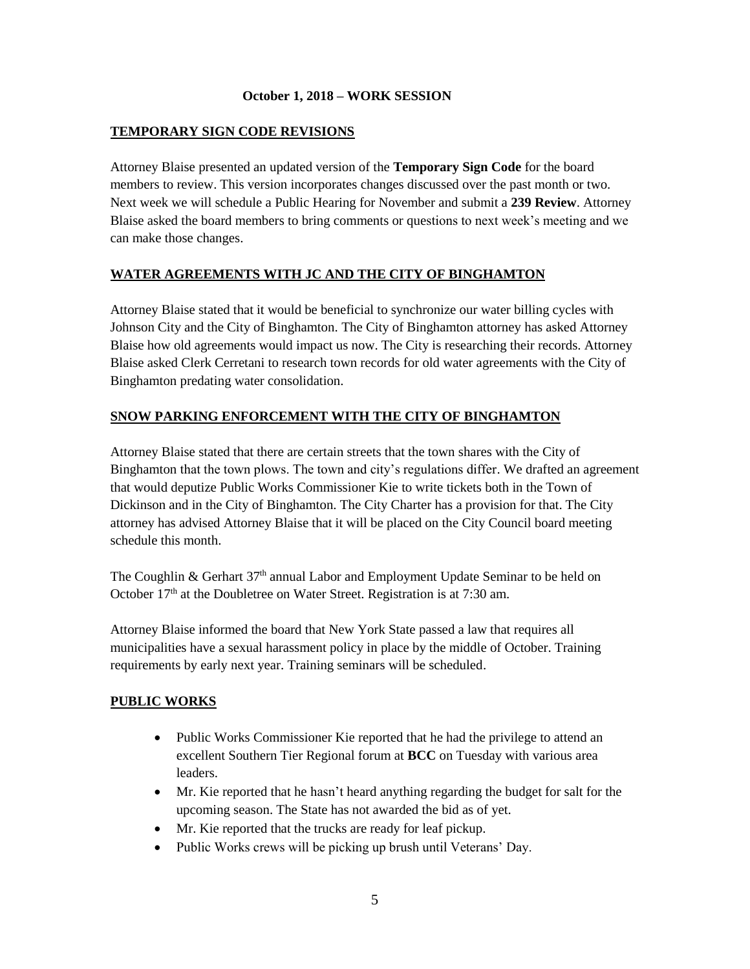## **TEMPORARY SIGN CODE REVISIONS**

Attorney Blaise presented an updated version of the **Temporary Sign Code** for the board members to review. This version incorporates changes discussed over the past month or two. Next week we will schedule a Public Hearing for November and submit a **239 Review**. Attorney Blaise asked the board members to bring comments or questions to next week's meeting and we can make those changes.

### **WATER AGREEMENTS WITH JC AND THE CITY OF BINGHAMTON**

Attorney Blaise stated that it would be beneficial to synchronize our water billing cycles with Johnson City and the City of Binghamton. The City of Binghamton attorney has asked Attorney Blaise how old agreements would impact us now. The City is researching their records. Attorney Blaise asked Clerk Cerretani to research town records for old water agreements with the City of Binghamton predating water consolidation.

### **SNOW PARKING ENFORCEMENT WITH THE CITY OF BINGHAMTON**

Attorney Blaise stated that there are certain streets that the town shares with the City of Binghamton that the town plows. The town and city's regulations differ. We drafted an agreement that would deputize Public Works Commissioner Kie to write tickets both in the Town of Dickinson and in the City of Binghamton. The City Charter has a provision for that. The City attorney has advised Attorney Blaise that it will be placed on the City Council board meeting schedule this month.

The Coughlin & Gerhart  $37<sup>th</sup>$  annual Labor and Employment Update Seminar to be held on October 17<sup>th</sup> at the Doubletree on Water Street. Registration is at 7:30 am.

Attorney Blaise informed the board that New York State passed a law that requires all municipalities have a sexual harassment policy in place by the middle of October. Training requirements by early next year. Training seminars will be scheduled.

#### **PUBLIC WORKS**

- Public Works Commissioner Kie reported that he had the privilege to attend an excellent Southern Tier Regional forum at **BCC** on Tuesday with various area leaders.
- Mr. Kie reported that he hasn't heard anything regarding the budget for salt for the upcoming season. The State has not awarded the bid as of yet.
- Mr. Kie reported that the trucks are ready for leaf pickup.
- Public Works crews will be picking up brush until Veterans' Day.